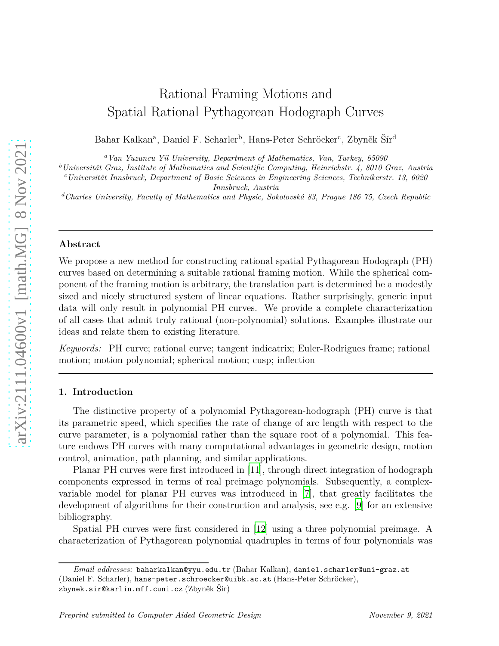# Rational Framing Motions and Spatial Rational Pythagorean Hodograph Curves

Bahar Kalkan<sup>a</sup>, Daniel F. Scharler<sup>b</sup>, Hans-Peter Schröcker<sup>c</sup>, Zbyněk Šír<sup>d</sup>

*<sup>a</sup>Van Yuzuncu Yil University, Department of Mathematics, Van, Turkey, 65090*

*<sup>b</sup>Universität Graz, Institute of Mathematics and Scientific Computing, Heinrichstr. 4, 8010 Graz, Austria*

*<sup>c</sup>Universität Innsbruck, Department of Basic Sciences in Engineering Sciences, Technikerstr. 13, 6020 Innsbruck, Austria*

*<sup>d</sup>Charles University, Faculty of Mathematics and Physic, Sokolovská 83, Prague 186 75, Czech Republic*

## **Abstract**

We propose a new method for constructing rational spatial Pythagorean Hodograph (PH) curves based on determining a suitable rational framing motion. While the spherical component of the framing motion is arbitrary, the translation part is determined be a modestly sized and nicely structured system of linear equations. Rather surprisingly, generic input data will only result in polynomial PH curves. We provide a complete characterization of all cases that admit truly rational (non-polynomial) solutions. Examples illustrate our ideas and relate them to existing literature.

*Keywords:* PH curve; rational curve; tangent indicatrix; Euler-Rodrigues frame; rational motion; motion polynomial; spherical motion; cusp; inflection

## **1. Introduction**

The distinctive property of a polynomial Pythagorean-hodograph (PH) curve is that its parametric speed, which specifies the rate of change of arc length with respect to the curve parameter, is a polynomial rather than the square root of a polynomial. This feature endows PH curves with many computational advantages in geometric design, motion control, animation, path planning, and similar applications.

Planar PH curves were first introduced in [\[11\]](#page-17-0), through direct integration of hodograph components expressed in terms of real preimage polynomials. Subsequently, a complexvariable model for planar PH curves was introduced in [\[7\]](#page-17-1), that greatly facilitates the development of algorithms for their construction and analysis, see e.g. [\[9\]](#page-17-2) for an extensive bibliography.

Spatial PH curves were first considered in [\[12\]](#page-17-3) using a three polynomial preimage. A characterization of Pythagorean polynomial quadruples in terms of four polynomials was

*Email addresses:* baharkalkan@yyu.edu.tr (Bahar Kalkan), daniel.scharler@uni-graz.at (Daniel F. Scharler), hans-peter.schroecker@uibk.ac.at (Hans-Peter Schröcker), zbynek.sir@karlin.mff.cuni.cz (Zbyněk Šír)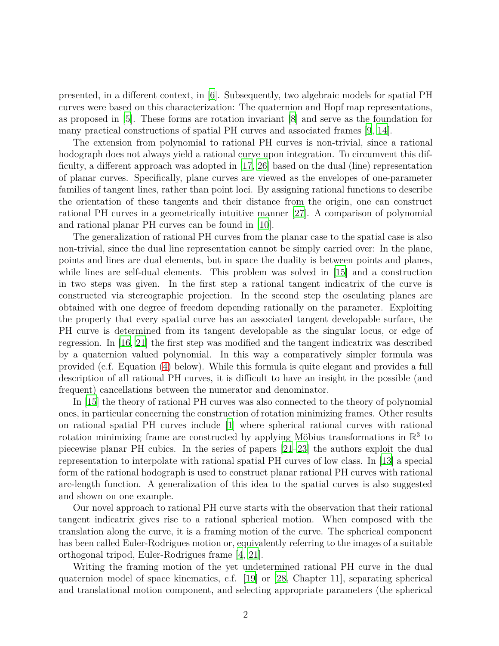presented, in a different context, in [\[6\]](#page-17-4). Subsequently, two algebraic models for spatial PH curves were based on this characterization: The quaternion and Hopf map representations, as proposed in [\[5\]](#page-17-5). These forms are rotation invariant [\[8\]](#page-17-6) and serve as the foundation for many practical constructions of spatial PH curves and associated frames [\[9](#page-17-2), [14](#page-17-7)].

The extension from polynomial to rational PH curves is non-trivial, since a rational hodograph does not always yield a rational curve upon integration. To circumvent this difficulty, a different approach was adopted in [\[17](#page-18-0), [26\]](#page-18-1) based on the dual (line) representation of planar curves. Specifically, plane curves are viewed as the envelopes of one-parameter families of tangent lines, rather than point loci. By assigning rational functions to describe the orientation of these tangents and their distance from the origin, one can construct rational PH curves in a geometrically intuitive manner [\[27](#page-18-2)]. A comparison of polynomial and rational planar PH curves can be found in [\[10](#page-17-8)].

The generalization of rational PH curves from the planar case to the spatial case is also non-trivial, since the dual line representation cannot be simply carried over: In the plane, points and lines are dual elements, but in space the duality is between points and planes, while lines are self-dual elements. This problem was solved in [\[15\]](#page-17-9) and a construction in two steps was given. In the first step a rational tangent indicatrix of the curve is constructed via stereographic projection. In the second step the osculating planes are obtained with one degree of freedom depending rationally on the parameter. Exploiting the property that every spatial curve has an associated tangent developable surface, the PH curve is determined from its tangent developable as the singular locus, or edge of regression. In [\[16,](#page-17-10) [21\]](#page-18-3) the first step was modified and the tangent indicatrix was described by a quaternion valued polynomial. In this way a comparatively simpler formula was provided (c.f. Equation [\(4\)](#page-4-0) below). While this formula is quite elegant and provides a full description of all rational PH curves, it is difficult to have an insight in the possible (and frequent) cancellations between the numerator and denominator.

In [\[15\]](#page-17-9) the theory of rational PH curves was also connected to the theory of polynomial ones, in particular concerning the construction of rotation minimizing frames. Other results on rational spatial PH curves include [\[1](#page-16-0)] where spherical rational curves with rational rotation minimizing frame are constructed by applying Möbius transformations in  $\mathbb{R}^3$  to piecewise planar PH cubics. In the series of papers [\[21](#page-18-3)[–23\]](#page-18-4) the authors exploit the dual representation to interpolate with rational spatial PH curves of low class. In [\[13](#page-17-11)] a special form of the rational hodograph is used to construct planar rational PH curves with rational arc-length function. A generalization of this idea to the spatial curves is also suggested and shown on one example.

Our novel approach to rational PH curve starts with the observation that their rational tangent indicatrix gives rise to a rational spherical motion. When composed with the translation along the curve, it is a framing motion of the curve. The spherical component has been called Euler-Rodrigues motion or, equivalently referring to the images of a suitable orthogonal tripod, Euler-Rodrigues frame [\[4](#page-17-12), [21\]](#page-18-3).

Writing the framing motion of the yet undetermined rational PH curve in the dual quaternion model of space kinematics, c.f. [\[19](#page-18-5)] or [\[28](#page-18-6), Chapter 11], separating spherical and translational motion component, and selecting appropriate parameters (the spherical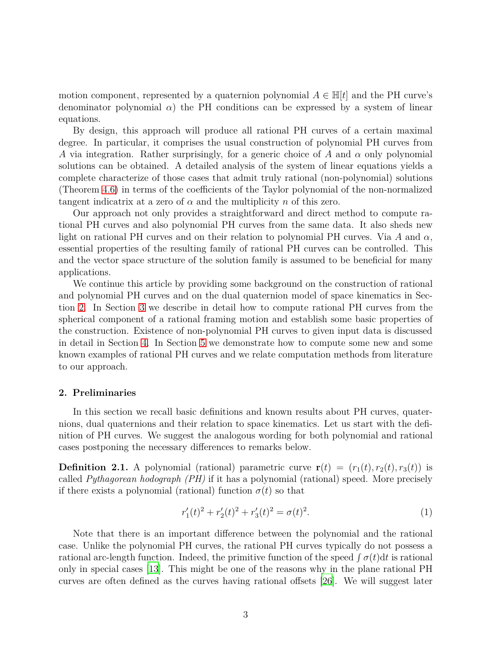motion component, represented by a quaternion polynomial  $A \in \mathbb{H}[t]$  and the PH curve's denominator polynomial  $\alpha$ ) the PH conditions can be expressed by a system of linear equations.

By design, this approach will produce all rational PH curves of a certain maximal degree. In particular, it comprises the usual construction of polynomial PH curves from *A* via integration. Rather surprisingly, for a generic choice of *A* and *α* only polynomial solutions can be obtained. A detailed analysis of the system of linear equations yields a complete characterize of those cases that admit truly rational (non-polynomial) solutions (Theorem [4.6\)](#page-11-0) in terms of the coefficients of the Taylor polynomial of the non-normalized tangent indicatrix at a zero of  $\alpha$  and the multiplicity  $n$  of this zero.

Our approach not only provides a straightforward and direct method to compute rational PH curves and also polynomial PH curves from the same data. It also sheds new light on rational PH curves and on their relation to polynomial PH curves. Via *A* and *α*, essential properties of the resulting family of rational PH curves can be controlled. This and the vector space structure of the solution family is assumed to be beneficial for many applications.

We continue this article by providing some background on the construction of rational and polynomial PH curves and on the dual quaternion model of space kinematics in Section [2.](#page-2-0) In Section [3](#page-5-0) we describe in detail how to compute rational PH curves from the spherical component of a rational framing motion and establish some basic properties of the construction. Existence of non-polynomial PH curves to given input data is discussed in detail in Section [4.](#page-7-0) In Section [5](#page-13-0) we demonstrate how to compute some new and some known examples of rational PH curves and we relate computation methods from literature to our approach.

# <span id="page-2-0"></span>**2. Preliminaries**

In this section we recall basic definitions and known results about PH curves, quaternions, dual quaternions and their relation to space kinematics. Let us start with the definition of PH curves. We suggest the analogous wording for both polynomial and rational cases postponing the necessary differences to remarks below.

<span id="page-2-2"></span>**Definition 2.1.** A polynomial (rational) parametric curve  $\mathbf{r}(t) = (r_1(t), r_2(t), r_3(t))$  is called *Pythagorean hodograph (PH)* if it has a polynomial (rational) speed. More precisely if there exists a polynomial (rational) function  $\sigma(t)$  so that

<span id="page-2-1"></span>
$$
r_1'(t)^2 + r_2'(t)^2 + r_3'(t)^2 = \sigma(t)^2.
$$
\n(1)

Note that there is an important difference between the polynomial and the rational case. Unlike the polynomial PH curves, the rational PH curves typically do not possess a rational arc-length function. Indeed, the primitive function of the speed  $\int \sigma(t) dt$  is rational only in special cases [\[13\]](#page-17-11). This might be one of the reasons why in the plane rational PH curves are often defined as the curves having rational offsets [\[26\]](#page-18-1). We will suggest later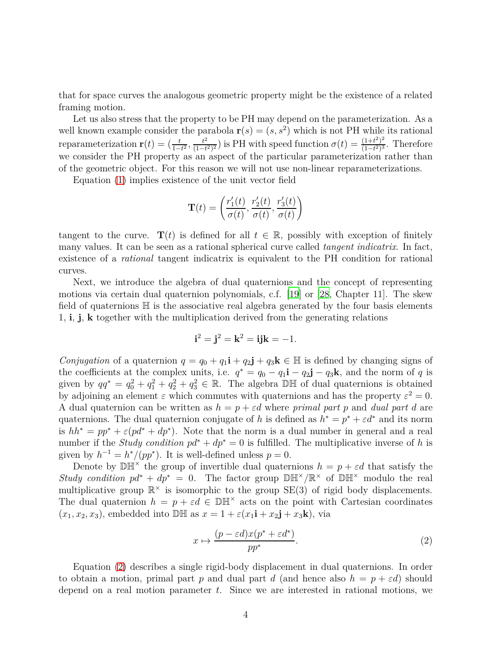that for space curves the analogous geometric property might be the existence of a related framing motion.

Let us also stress that the property to be PH may depend on the parameterization. As a well known example consider the parabola  $\mathbf{r}(s) = (s, s^2)$  which is not PH while its rational reparameterization  $\mathbf{r}(t) = (\frac{t}{1-t^2}, \frac{t^2}{(1-t)})$  $\frac{t^2}{(1-t^2)^2}$ ) is PH with speed function  $\sigma(t) = \frac{(1+t^2)^2}{(1-t^2)^3}$  $\frac{(1+t^2)^2}{(1-t^2)^3}$ . Therefore we consider the PH property as an aspect of the particular parameterization rather than of the geometric object. For this reason we will not use non-linear reparameterizations.

Equation [\(1\)](#page-2-1) implies existence of the unit vector field

$$
\mathbf{T}(t)=\left(\frac{r'_1(t)}{\sigma(t)},\frac{r'_2(t)}{\sigma(t)},\frac{r'_3(t)}{\sigma(t)}\right)
$$

tangent to the curve.  $\mathbf{T}(t)$  is defined for all  $t \in \mathbb{R}$ , possibly with exception of finitely many values. It can be seen as a rational spherical curve called *tangent indicatrix*. In fact, existence of a *rational* tangent indicatrix is equivalent to the PH condition for rational curves.

Next, we introduce the algebra of dual quaternions and the concept of representing motions via certain dual quaternion polynomials, c.f. [\[19](#page-18-5)] or [\[28](#page-18-6), Chapter 11]. The skew field of quaternions  $\mathbb H$  is the associative real algebra generated by the four basis elements 1, **i**, **j**, **k** together with the multiplication derived from the generating relations

$$
\mathbf{i}^2 = \mathbf{j}^2 = \mathbf{k}^2 = \mathbf{ijk} = -1.
$$

*Conjugation* of a quaternion  $q = q_0 + q_1 \mathbf{i} + q_2 \mathbf{j} + q_3 \mathbf{k} \in \mathbb{H}$  is defined by changing signs of the coefficients at the complex units, i.e.  $q^* = q_0 - q_1 \mathbf{i} - q_2 \mathbf{j} - q_3 \mathbf{k}$ , and the norm of *q* is given by  $qq^* = q_0^2 + q_1^2 + q_2^2 + q_3^2 \in \mathbb{R}$ . The algebra DH of dual quaternions is obtained by adjoining an element  $\varepsilon$  which commutes with quaternions and has the property  $\varepsilon^2 = 0$ . A dual quaternion can be written as  $h = p + \varepsilon d$  where *primal part p* and *dual part d* are quaternions. The dual quaternion conjugate of *h* is defined as  $h^* = p^* + \varepsilon d^*$  and its norm is  $hh^* = pp^* + \varepsilon (pd^* + dp^*)$ . Note that the norm is a dual number in general and a real number if the *Study condition*  $pd^* + dp^* = 0$  is fulfilled. The multiplicative inverse of h is given by  $h^{-1} = h^*/(pp^*)$ . It is well-defined unless  $p = 0$ .

Denote by  $\mathbb{D} \mathbb{H}^{\times}$  the group of invertible dual quaternions  $h = p + \varepsilon d$  that satisfy the *Study condition*  $pd^* + dp^* = 0$ . The factor group  $\mathbb{D}H^{\times}/\mathbb{R}^{\times}$  of  $\mathbb{D}H^{\times}$  modulo the real multiplicative group  $\mathbb{R}^{\times}$  is isomorphic to the group SE(3) of rigid body displacements. The dual quaternion  $h = p + \varepsilon d \in \mathbb{D} \mathbb{H}^{\times}$  acts on the point with Cartesian coordinates  $(x_1, x_2, x_3)$ , embedded into DH as  $x = 1 + \varepsilon (x_1 \mathbf{i} + x_2 \mathbf{j} + x_3 \mathbf{k})$ , via

<span id="page-3-0"></span>
$$
x \mapsto \frac{(p - \varepsilon d)x(p^* + \varepsilon d^*)}{pp^*}.
$$
\n(2)

Equation [\(2\)](#page-3-0) describes a single rigid-body displacement in dual quaternions. In order to obtain a motion, primal part *p* and dual part *d* (and hence also  $h = p + \varepsilon d$ ) should depend on a real motion parameter *t*. Since we are interested in rational motions, we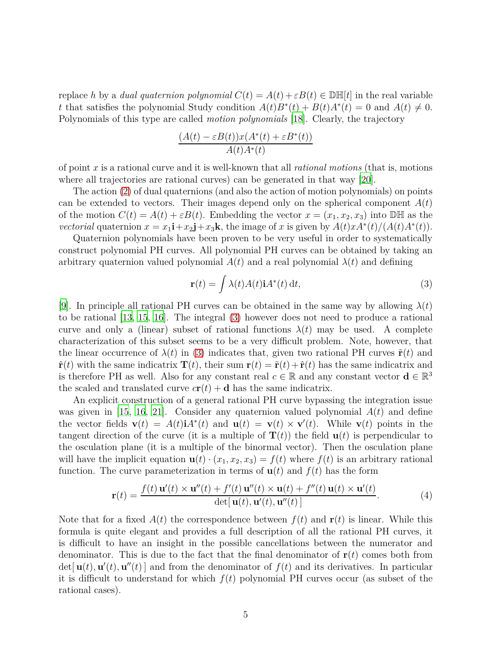replace *h* by a *dual quaternion polynomial*  $C(t) = A(t) + \varepsilon B(t) \in \mathbb{D}[\![t]\!]$  in the real variable *t* that satisfies the polynomial Study condition  $A(t)B^*(t) + B(t)A^*(t) = 0$  and  $A(t) \neq 0$ . Polynomials of this type are called *motion polynomials* [\[18\]](#page-18-7). Clearly, the trajectory

$$
\frac{(A(t) - \varepsilon B(t))x(A^*(t) + \varepsilon B^*(t))}{A(t)A^*(t)}
$$

of point *x* is a rational curve and it is well-known that all *rational motions* (that is, motions where all trajectories are rational curves) can be generated in that way [\[20](#page-18-8)].

The action [\(2\)](#page-3-0) of dual quaternions (and also the action of motion polynomials) on points can be extended to vectors. Their images depend only on the spherical component  $A(t)$ of the motion  $C(t) = A(t) + \varepsilon B(t)$ . Embedding the vector  $x = (x_1, x_2, x_3)$  into DH as the *vectorial* quaternion  $x = x_1 \mathbf{i} + x_2 \mathbf{j} + x_3 \mathbf{k}$ , the image of *x* is given by  $A(t)xA^*(t)/(A(t)A^*(t))$ .

Quaternion polynomials have been proven to be very useful in order to systematically construct polynomial PH curves. All polynomial PH curves can be obtained by taking an arbitrary quaternion valued polynomial  $A(t)$  and a real polynomial  $\lambda(t)$  and defining

<span id="page-4-1"></span>
$$
\mathbf{r}(t) = \int \lambda(t)A(t)\mathbf{i}A^*(t) \, \mathrm{d}t,\tag{3}
$$

[\[9](#page-17-2)]. In principle all rational PH curves can be obtained in the same way by allowing *λ*(*t*) to be rational [\[13](#page-17-11), [15](#page-17-9), [16\]](#page-17-10). The integral [\(3\)](#page-4-1) however does not need to produce a rational curve and only a (linear) subset of rational functions  $\lambda(t)$  may be used. A complete characterization of this subset seems to be a very difficult problem. Note, however, that the linear occurrence of  $\lambda(t)$  in [\(3\)](#page-4-1) indicates that, given two rational PH curves  $\tilde{\mathbf{r}}(t)$  and  $\hat{\mathbf{r}}(t)$  with the same indicatrix  $\mathbf{T}(t)$ , their sum  $\mathbf{r}(t) = \tilde{\mathbf{r}}(t) + \hat{\mathbf{r}}(t)$  has the same indicatrix and is therefore PH as well. Also for any constant real  $c \in \mathbb{R}$  and any constant vector  $\mathbf{d} \in \mathbb{R}^3$ the scaled and translated curve  $c\mathbf{r}(t) + \mathbf{d}$  has the same indicatrix.

An explicit construction of a general rational PH curve bypassing the integration issue was given in [\[15](#page-17-9), [16,](#page-17-10) [21\]](#page-18-3). Consider any quaternion valued polynomial  $A(t)$  and define the vector fields  $\mathbf{v}(t) = A(t)\mathbf{i}A^*(t)$  and  $\mathbf{u}(t) = \mathbf{v}(t) \times \mathbf{v}'(t)$ . While  $\mathbf{v}(t)$  points in the tangent direction of the curve (it is a multiple of  $T(t)$ ) the field  $u(t)$  is perpendicular to the osculation plane (it is a multiple of the binormal vector). Then the osculation plane will have the implicit equation  $\mathbf{u}(t) \cdot (x_1, x_2, x_3) = f(t)$  where  $f(t)$  is an arbitrary rational function. The curve parameterization in terms of  $u(t)$  and  $f(t)$  has the form

<span id="page-4-0"></span>
$$
\mathbf{r}(t) = \frac{f(t)\,\mathbf{u}'(t) \times \mathbf{u}''(t) + f'(t)\,\mathbf{u}''(t) \times \mathbf{u}(t) + f''(t)\,\mathbf{u}(t) \times \mathbf{u}'(t)}{\det[\,\mathbf{u}(t),\mathbf{u}'(t),\mathbf{u}''(t)\,]}. \tag{4}
$$

Note that for a fixed  $A(t)$  the correspondence between  $f(t)$  and  $\mathbf{r}(t)$  is linear. While this formula is quite elegant and provides a full description of all the rational PH curves, it is difficult to have an insight in the possible cancellations between the numerator and denominator. This is due to the fact that the final denominator of  $\mathbf{r}(t)$  comes both from  $\det[\mathbf{u}(t), \mathbf{u}'(t), \mathbf{u}''(t)]$  and from the denominator of  $f(t)$  and its derivatives. In particular it is difficult to understand for which  $f(t)$  polynomial PH curves occur (as subset of the rational cases).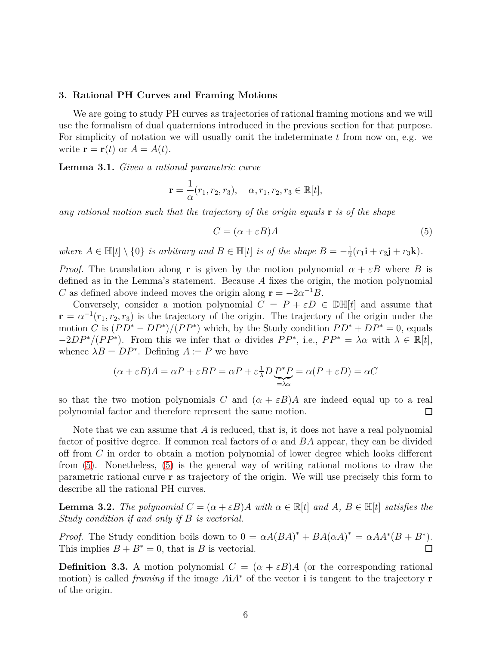#### <span id="page-5-0"></span>**3. Rational PH Curves and Framing Motions**

We are going to study PH curves as trajectories of rational framing motions and we will use the formalism of dual quaternions introduced in the previous section for that purpose. For simplicity of notation we will usually omit the indeterminate *t* from now on, e.g. we write  $\mathbf{r} = \mathbf{r}(t)$  or  $A = A(t)$ .

**Lemma 3.1.** *Given a rational parametric curve*

$$
\mathbf{r} = \frac{1}{\alpha}(r_1, r_2, r_3), \quad \alpha, r_1, r_2, r_3 \in \mathbb{R}[t],
$$

*any rational motion such that the trajectory of the origin equals* **r** *is of the shape*

<span id="page-5-1"></span>
$$
C = (\alpha + \varepsilon B)A \tag{5}
$$

*where*  $A \in \mathbb{H}[t] \setminus \{0\}$  *is arbitrary and*  $B \in \mathbb{H}[t]$  *is of the shape*  $B = -\frac{1}{2}$  $\frac{1}{2}(r_1\mathbf{i} + r_2\mathbf{j} + r_3\mathbf{k}).$ 

*Proof.* The translation along **r** is given by the motion polynomial  $\alpha + \varepsilon B$  where *B* is defined as in the Lemma's statement. Because *A* fixes the origin, the motion polynomial *C* as defined above indeed moves the origin along  $\mathbf{r} = -2a^{-1}\overline{B}$ .

Conversely, consider a motion polynomial  $C = P + \varepsilon D \in \mathbb{D}[\![t]\!]$  and assume that  $\mathbf{r} = \alpha^{-1}(r_1, r_2, r_3)$  is the trajectory of the origin. The trajectory of the origin under the motion *C* is  $(PD^* - DP^*)/(PP^*)$  which, by the Study condition  $PD^* + DP^* = 0$ , equals  $-2DP^{*}/(PP^{*})$ . From this we infer that *α* divides  $PP^{*}$ , i.e.,  $PP^{*} = \lambda \alpha$  with  $\lambda \in \mathbb{R}[t]$ , whence  $\lambda B = DP^*$ . Defining  $A := P$  we have

$$
(\alpha + \varepsilon B)A = \alpha P + \varepsilon BP = \alpha P + \varepsilon \frac{1}{\lambda}D\underbrace{P^*P}_{=\lambda\alpha} = \alpha(P + \varepsilon D) = \alpha C
$$

so that the two motion polynomials *C* and  $(a + \varepsilon B)A$  are indeed equal up to a real polynomial factor and therefore represent the same motion.  $\Box$ 

Note that we can assume that *A* is reduced, that is, it does not have a real polynomial factor of positive degree. If common real factors of *α* and *BA* appear, they can be divided off from *C* in order to obtain a motion polynomial of lower degree which looks different from [\(5\)](#page-5-1). Nonetheless, [\(5\)](#page-5-1) is the general way of writing rational motions to draw the parametric rational curve **r** as trajectory of the origin. We will use precisely this form to describe all the rational PH curves.

<span id="page-5-2"></span>**Lemma 3.2.** *The polynomial*  $C = (\alpha + \varepsilon B)A$  *with*  $\alpha \in \mathbb{R}[t]$  *and*  $A, B \in \mathbb{H}[t]$  *satisfies the Study condition if and only if B is vectorial.*

*Proof.* The Study condition boils down to  $0 = \alpha A (BA)^* + BA(\alpha A)^* = \alpha AA^*(B + B^*)$ . This implies  $B + B^* = 0$ , that is *B* is vectorial.  $\Box$ 

**Definition 3.3.** A motion polynomial  $C = (\alpha + \varepsilon B)A$  (or the corresponding rational motion) is called *framing* if the image *A***i***A*<sup>∗</sup> of the vector **i** is tangent to the trajectory **r** of the origin.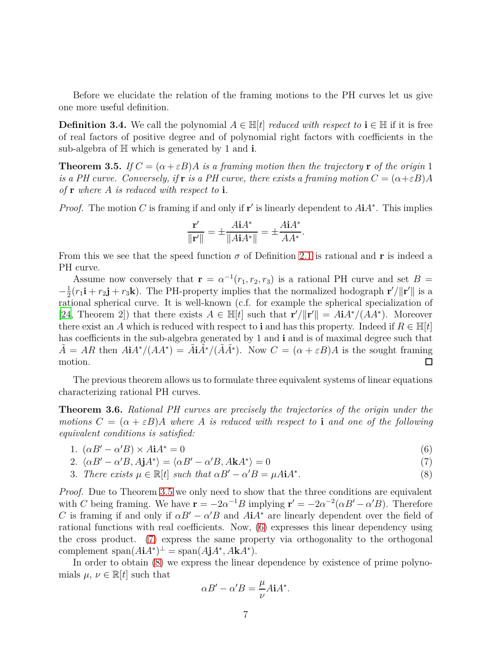Before we elucidate the relation of the framing motions to the PH curves let us give one more useful definition.

**Definition 3.4.** We call the polynomial  $A \in \mathbb{H}[t]$  *reduced with respect to*  $\mathbf{i} \in \mathbb{H}$  if it is free of real factors of positive degree and of polynomial right factors with coefficients in the sub-algebra of H which is generated by 1 and **i**.

<span id="page-6-0"></span>**Theorem 3.5.** *If*  $C = (\alpha + \varepsilon B)A$  *is a framing motion then the trajectory* **r** *of the origin* 1 *is a PH curve. Conversely, if* **r** *is a PH curve, there exists a framing motion*  $C = (\alpha + \varepsilon B)A$ *of* **r** *where A is reduced with respect to* **i***.*

*Proof.* The motion *C* is framing if and only if **r**' is linearly dependent to  $A\mathbf{i}A^*$ . This implies

$$
\frac{\mathbf{r}'}{\|\mathbf{r}'\|} = \pm \frac{A\mathbf{i}A^*}{\|A\mathbf{i}A^*\|} = \pm \frac{A\mathbf{i}A^*}{AA^*}.
$$

From this we see that the speed function  $\sigma$  of Definition [2.1](#page-2-2) is rational and **r** is indeed a PH curve.

Assume now conversely that  $\mathbf{r} = \alpha^{-1}(r_1, r_2, r_3)$  is a rational PH curve and set  $B =$  $\frac{1}{2}(r_1\mathbf{i} + r_2\mathbf{j} + r_3\mathbf{k})$ . The PH-property implies that the normalized hodograph **r**'/ $\|\mathbf{r}'\|$  is a  $-\frac{1}{2}$ rational spherical curve. It is well-known (c.f. for example the spherical specialization of [\[24](#page-18-9), Theorem 2]) that there exists  $A \in \mathbb{H}[t]$  such that  $\mathbf{r}'/||\mathbf{r}'|| = A\mathbf{i}A^*/(AA^*)$ . Moreover there exist an *A* which is reduced with respect to **i** and has this property. Indeed if  $R \in \mathbb{H}[t]$ has coefficients in the sub-algebra generated by 1 and **i** and is of maximal degree such that  $\tilde{A} = AR$  then  $AiA^*/(AA^*) = \tilde{A}i\tilde{A}^*/(\tilde{A}A^*)$ . Now  $C = (\alpha + \varepsilon B)A$  is the sought framing motion.  $\Box$ 

The previous theorem allows us to formulate three equivalent systems of linear equations characterizing rational PH curves.

<span id="page-6-4"></span>**Theorem 3.6.** *Rational PH curves are precisely the trajectories of the origin under the motions*  $C = (\alpha + \varepsilon B)A$  *where* A *is reduced with respect to* **i** *and one of the following equivalent conditions is satisfied:*

$$
1. \ (\alpha B' - \alpha' B) \times A \mathbf{i} A^* = 0 \tag{6}
$$

2.  $\langle \alpha B' - \alpha' B, A \mathbf{j} A^* \rangle = \langle \alpha B' - \alpha' B, A \mathbf{k} A^* \rangle = 0$  (7)

3. There exists 
$$
\mu \in \mathbb{R}[t]
$$
 such that  $\alpha B' - \alpha' B = \mu A i A^*$ . (8)

*Proof.* Due to Theorem [3.5](#page-6-0) we only need to show that the three conditions are equivalent with *C* being framing. We have  $\mathbf{r} = -2\alpha^{-1}B$  implying  $\mathbf{r}' = -2\alpha^{-2}(\alpha B' - \alpha' B)$ . Therefore *C* is framing if and only if  $\alpha B' - \alpha' B$  and  $A\mathbf{i} A^*$  are linearly dependent over the field of rational functions with real coefficients. Now, [\(6\)](#page-6-1) expresses this linear dependency using the cross product. [\(7\)](#page-6-2) express the same property via orthogonality to the orthogonal  $\text{complement span}(A\mathbf{i}A^*)^{\perp} = \text{span}(A\mathbf{j}A^*, A\mathbf{k}A^*)$ .

In order to obtain  $(8)$  we express the linear dependence by existence of prime polynomials  $\mu, \nu \in \mathbb{R}[t]$  such that

<span id="page-6-3"></span><span id="page-6-2"></span><span id="page-6-1"></span>
$$
\alpha B' - \alpha' B = \frac{\mu}{\nu} A \mathbf{i} A^*.
$$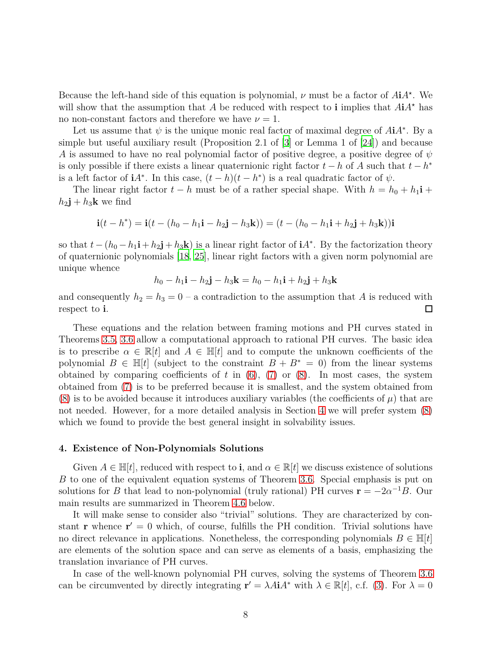Because the left-hand side of this equation is polynomial,  $\nu$  must be a factor of  $A\mathbf{i}A^*$ . We will show that the assumption that *A* be reduced with respect to **i** implies that  $AiA^{\star}$  has no non-constant factors and therefore we have  $\nu = 1$ .

Let us assume that  $\psi$  is the unique monic real factor of maximal degree of  $A\mathbf{i}A^*$ . By a simple but useful auxiliary result (Proposition 2.1 of [\[3\]](#page-17-13) or Lemma 1 of [\[24\]](#page-18-9)) and because *A* is assumed to have no real polynomial factor of positive degree, a positive degree of *ψ* is only possible if there exists a linear quaternionic right factor  $t - h$  of *A* such that  $t - h^*$ is a left factor of **i** $A^*$ . In this case,  $(t-h)(t-h^*)$  is a real quadratic factor of  $\psi$ .

The linear right factor  $t - h$  must be of a rather special shape. With  $h = h_0 + h_1 \mathbf{i} +$  $h_2$ **j** +  $h_3$ **k** we find

$$
\mathbf{i}(t-h^*) = \mathbf{i}(t-(h_0-h_1\mathbf{i}-h_2\mathbf{j}-h_3\mathbf{k})) = (t-(h_0-h_1\mathbf{i}+h_2\mathbf{j}+h_3\mathbf{k}))\mathbf{i}
$$

so that  $t - (h_0 - h_1 \mathbf{i} + h_2 \mathbf{j} + h_3 \mathbf{k})$  is a linear right factor of  $\mathbf{i} A^*$ . By the factorization theory of quaternionic polynomials [\[18,](#page-18-7) [25\]](#page-18-10), linear right factors with a given norm polynomial are unique whence

$$
h_0 - h_1 \mathbf{i} - h_2 \mathbf{j} - h_3 \mathbf{k} = h_0 - h_1 \mathbf{i} + h_2 \mathbf{j} + h_3 \mathbf{k}
$$

and consequently  $h_2 = h_3 = 0$  – a contradiction to the assumption that *A* is reduced with respect to **i**.  $\Box$ 

These equations and the relation between framing motions and PH curves stated in Theorems [3.5,](#page-6-0) [3.6](#page-6-4) allow a computational approach to rational PH curves. The basic idea is to prescribe  $\alpha \in \mathbb{R}[t]$  and  $A \in \mathbb{H}[t]$  and to compute the unknown coefficients of the polynomial  $B \in \mathbb{H}[t]$  (subject to the constraint  $B + B^* = 0$ ) from the linear systems obtained by comparing coefficients of  $t$  in  $(6)$ ,  $(7)$  or  $(8)$ . In most cases, the system obtained from [\(7\)](#page-6-2) is to be preferred because it is smallest, and the system obtained from [\(8\)](#page-6-3) is to be avoided because it introduces auxiliary variables (the coefficients of  $\mu$ ) that are not needed. However, for a more detailed analysis in Section [4](#page-7-0) we will prefer system [\(8\)](#page-6-3) which we found to provide the best general insight in solvability issues.

#### <span id="page-7-0"></span>**4. Existence of Non-Polynomials Solutions**

Given  $A \in \mathbb{H}[t]$ , reduced with respect to **i**, and  $\alpha \in \mathbb{R}[t]$  we discuss existence of solutions *B* to one of the equivalent equation systems of Theorem [3.6.](#page-6-4) Special emphasis is put on solutions for *B* that lead to non-polynomial (truly rational) PH curves  $\mathbf{r} = -2a^{-1}B$ . Our main results are summarized in Theorem [4.6](#page-11-0) below.

It will make sense to consider also "trivial" solutions. They are characterized by constant **r** whence  $\mathbf{r}' = 0$  which, of course, fulfills the PH condition. Trivial solutions have no direct relevance in applications. Nonetheless, the corresponding polynomials  $B \in \mathbb{H}[t]$ are elements of the solution space and can serve as elements of a basis, emphasizing the translation invariance of PH curves.

In case of the well-known polynomial PH curves, solving the systems of Theorem [3.6](#page-6-4) can be circumvented by directly integrating  $\mathbf{r}' = \lambda A \mathbf{i} A^*$  with  $\lambda \in \mathbb{R}[t]$ , c.f. [\(3\)](#page-4-1). For  $\lambda = 0$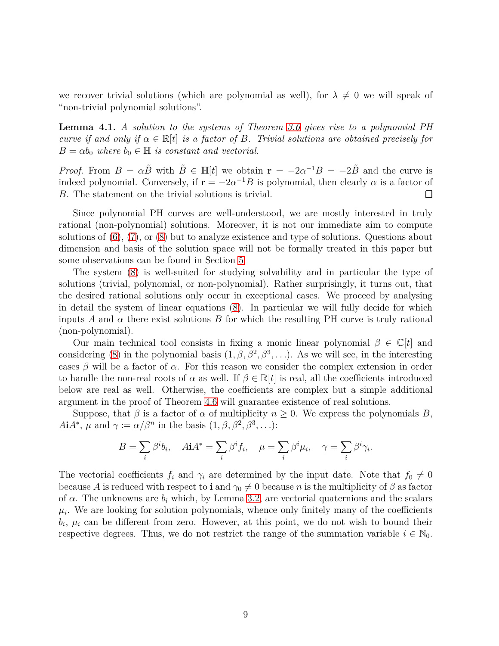we recover trivial solutions (which are polynomial as well), for  $\lambda \neq 0$  we will speak of "non-trivial polynomial solutions".

<span id="page-8-0"></span>**Lemma 4.1.** *A solution to the systems of Theorem [3.6](#page-6-4) gives rise to a polynomial PH curve if and only if*  $\alpha \in \mathbb{R}[t]$  *is a factor of B. Trivial solutions are obtained precisely for*  $B = \alpha b_0$  *where*  $b_0 \in \mathbb{H}$  *is constant and vectorial.* 

*Proof.* From  $B = \alpha \tilde{B}$  with  $\tilde{B} \in \mathbb{H}[t]$  we obtain  $\mathbf{r} = -2\alpha^{-1}B = -2\tilde{B}$  and the curve is indeed polynomial. Conversely, if  $\mathbf{r} = -2\alpha^{-1}B$  is polynomial, then clearly  $\alpha$  is a factor of *B*. The statement on the trivial solutions is trivial.  $\Box$ 

Since polynomial PH curves are well-understood, we are mostly interested in truly rational (non-polynomial) solutions. Moreover, it is not our immediate aim to compute solutions of [\(6\)](#page-6-1), [\(7\)](#page-6-2), or [\(8\)](#page-6-3) but to analyze existence and type of solutions. Questions about dimension and basis of the solution space will not be formally treated in this paper but some observations can be found in Section [5.](#page-13-0)

The system [\(8\)](#page-6-3) is well-suited for studying solvability and in particular the type of solutions (trivial, polynomial, or non-polynomial). Rather surprisingly, it turns out, that the desired rational solutions only occur in exceptional cases. We proceed by analysing in detail the system of linear equations [\(8\)](#page-6-3). In particular we will fully decide for which inputs *A* and  $\alpha$  there exist solutions *B* for which the resulting PH curve is truly rational (non-polynomial).

Our main technical tool consists in fixing a monic linear polynomial  $\beta \in \mathbb{C}[t]$  and considering [\(8\)](#page-6-3) in the polynomial basis  $(1, \beta, \beta^2, \beta^3, \ldots)$ . As we will see, in the interesting cases  $\beta$  will be a factor of  $\alpha$ . For this reason we consider the complex extension in order to handle the non-real roots of  $\alpha$  as well. If  $\beta \in \mathbb{R}[t]$  is real, all the coefficients introduced below are real as well. Otherwise, the coefficients are complex but a simple additional argument in the proof of Theorem [4.6](#page-11-0) will guarantee existence of real solutions.

Suppose, that  $\beta$  is a factor of  $\alpha$  of multiplicity  $n \geq 0$ . We express the polynomials *B*,  $A\mathbf{i}A^*, \mu$  and  $\gamma := \alpha/\beta^n$  in the basis  $(1, \beta, \beta^2, \beta^3, \dots)$ :

$$
B = \sum_{i} \beta^{i} b_{i}, \quad A\mathbf{i}A^{*} = \sum_{i} \beta^{i} f_{i}, \quad \mu = \sum_{i} \beta^{i} \mu_{i}, \quad \gamma = \sum_{i} \beta^{i} \gamma_{i}.
$$

The vectorial coefficients  $f_i$  and  $\gamma_i$  are determined by the input date. Note that  $f_0 \neq 0$ because *A* is reduced with respect to **i** and  $\gamma_0 \neq 0$  because *n* is the multiplicity of  $\beta$  as factor of  $\alpha$ . The unknowns are  $b_i$  which, by Lemma [3.2,](#page-5-2) are vectorial quaternions and the scalars  $\mu_i$ . We are looking for solution polynomials, whence only finitely many of the coefficients  $b_i$ ,  $\mu_i$  can be different from zero. However, at this point, we do not wish to bound their respective degrees. Thus, we do not restrict the range of the summation variable  $i \in \mathbb{N}_0$ .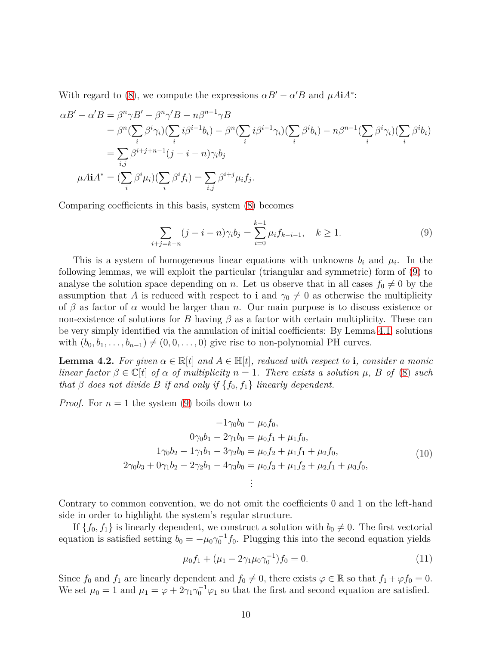With regard to [\(8\)](#page-6-3), we compute the expressions  $\alpha B' - \alpha' B$  and  $\mu A i A^*$ :

$$
\alpha B' - \alpha' B = \beta^n \gamma B' - \beta^n \gamma' B - n \beta^{n-1} \gamma B
$$
  
\n
$$
= \beta^n (\sum_i \beta^i \gamma_i) (\sum_i i \beta^{i-1} b_i) - \beta^n (\sum_i i \beta^{i-1} \gamma_i) (\sum_i \beta^i b_i) - n \beta^{n-1} (\sum_i \beta^i \gamma_i) (\sum_i \beta^i b_i)
$$
  
\n
$$
= \sum_{i,j} \beta^{i+j+n-1} (j-i-n) \gamma_i b_j
$$
  
\n
$$
\mu A i A^* = (\sum_i \beta^i \mu_i) (\sum_i \beta^i f_i) = \sum_{i,j} \beta^{i+j} \mu_i f_j.
$$

Comparing coefficients in this basis, system [\(8\)](#page-6-3) becomes

<span id="page-9-0"></span>
$$
\sum_{i+j=k-n} (j-i-n)\gamma_i b_j = \sum_{i=0}^{k-1} \mu_i f_{k-i-1}, \quad k \ge 1.
$$
 (9)

This is a system of homogeneous linear equations with unknowns  $b_i$  and  $\mu_i$ . In the following lemmas, we will exploit the particular (triangular and symmetric) form of [\(9\)](#page-9-0) to analyse the solution space depending on *n*. Let us observe that in all cases  $f_0 \neq 0$  by the assumption that *A* is reduced with respect to **i** and  $\gamma_0 \neq 0$  as otherwise the multiplicity of *β* as factor of *α* would be larger than *n*. Our main purpose is to discuss existence or non-existence of solutions for *B* having  $\beta$  as a factor with certain multiplicity. These can be very simply identified via the annulation of initial coefficients: By Lemma [4.1,](#page-8-0) solutions with  $(b_0, b_1, \ldots, b_{n-1}) \neq (0, 0, \ldots, 0)$  give rise to non-polynomial PH curves.

<span id="page-9-2"></span>**Lemma 4.2.** For given  $\alpha \in \mathbb{R}[t]$  and  $A \in \mathbb{H}[t]$ , reduced with respect to **i**, consider a monic *linear factor*  $\beta \in \mathbb{C}[t]$  *of*  $\alpha$  *of multiplicity*  $n = 1$ *. There exists* a solution  $\mu$ *,*  $B$  *of* [\(8\)](#page-6-3) *such that*  $\beta$  *does not divide*  $B$  *if and only if*  $\{f_0, f_1\}$  *linearly dependent.* 

*Proof.* For  $n = 1$  the system [\(9\)](#page-9-0) boils down to

$$
-1\gamma_0 b_0 = \mu_0 f_0,
$$
  
\n
$$
0\gamma_0 b_1 - 2\gamma_1 b_0 = \mu_0 f_1 + \mu_1 f_0,
$$
  
\n
$$
1\gamma_0 b_2 - 1\gamma_1 b_1 - 3\gamma_2 b_0 = \mu_0 f_2 + \mu_1 f_1 + \mu_2 f_0,
$$
  
\n
$$
2\gamma_0 b_3 + 0\gamma_1 b_2 - 2\gamma_2 b_1 - 4\gamma_3 b_0 = \mu_0 f_3 + \mu_1 f_2 + \mu_2 f_1 + \mu_3 f_0,
$$
  
\n
$$
\vdots
$$
\n(10)

Contrary to common convention, we do not omit the coefficients 0 and 1 on the left-hand side in order to highlight the system's regular structure.

If  $\{f_0, f_1\}$  is linearly dependent, we construct a solution with  $b_0 \neq 0$ . The first vectorial equation is satisfied setting  $b_0 = -\mu_0 \gamma_0^{-1} f_0$ . Plugging this into the second equation yields

<span id="page-9-1"></span>
$$
\mu_0 f_1 + (\mu_1 - 2\gamma_1 \mu_0 \gamma_0^{-1}) f_0 = 0.
$$
\n(11)

Since  $f_0$  and  $f_1$  are linearly dependent and  $f_0 \neq 0$ , there exists  $\varphi \in \mathbb{R}$  so that  $f_1 + \varphi f_0 = 0$ . We set  $\mu_0 = 1$  and  $\mu_1 = \varphi + 2\gamma_1\gamma_0^{-1}\varphi_1$  so that the first and second equation are satisfied.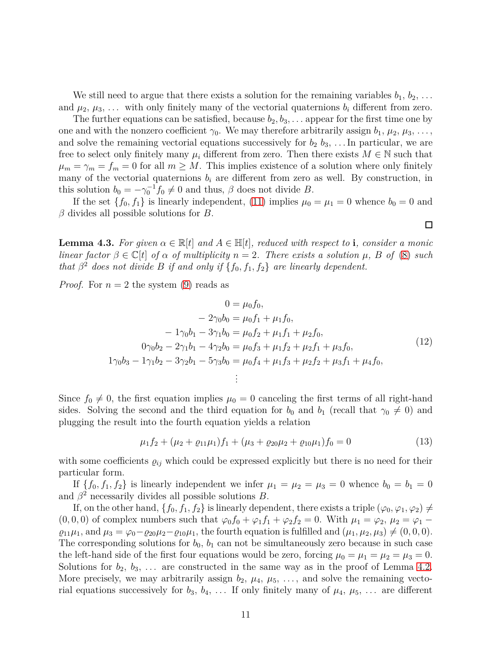We still need to argue that there exists a solution for the remaining variables  $b_1, b_2, \ldots$ and  $\mu_2, \mu_3, \ldots$  with only finitely many of the vectorial quaternions  $b_i$  different from zero.

The further equations can be satisfied, because  $b_2, b_3, \ldots$  appear for the first time one by one and with the nonzero coefficient  $\gamma_0$ . We may therefore arbitrarily assign  $b_1, \mu_2, \mu_3, \ldots$ , and solve the remaining vectorial equations successively for  $b_2$   $b_3$ , ... In particular, we are free to select only finitely many  $\mu_i$  different from zero. Then there exists  $M \in \mathbb{N}$  such that  $\mu_m = \gamma_m = f_m = 0$  for all  $m \geq M$ . This implies existence of a solution where only finitely many of the vectorial quaternions  $b_i$  are different from zero as well. By construction, in this solution  $b_0 = -\gamma_0^{-1} f_0 \neq 0$  and thus,  $\beta$  does not divide *B*.

If the set  $\{f_0, f_1\}$  is linearly independent, [\(11\)](#page-9-1) implies  $\mu_0 = \mu_1 = 0$  whence  $b_0 = 0$  and *β* divides all possible solutions for *B*.

<span id="page-10-0"></span>**Lemma 4.3.** For given  $\alpha \in \mathbb{R}[t]$  and  $A \in \mathbb{H}[t]$ , reduced with respect to **i**, consider a monic *linear factor*  $\beta \in \mathbb{C}[t]$  *of*  $\alpha$  *of multiplicity*  $n = 2$ *. There exists* a solution  $\mu$ *,*  $B$  *of* [\(8\)](#page-6-3) *such that*  $\beta^2$  *does not divide B if and only if*  $\{f_0, f_1, f_2\}$  *are linearly dependent.* 

*Proof.* For  $n = 2$  the system [\(9\)](#page-9-0) reads as

$$
0 = \mu_0 f_0,
$$
  
\n
$$
- 2\gamma_0 b_0 = \mu_0 f_1 + \mu_1 f_0,
$$
  
\n
$$
- 1\gamma_0 b_1 - 3\gamma_1 b_0 = \mu_0 f_2 + \mu_1 f_1 + \mu_2 f_0,
$$
  
\n
$$
0\gamma_0 b_2 - 2\gamma_1 b_1 - 4\gamma_2 b_0 = \mu_0 f_3 + \mu_1 f_2 + \mu_2 f_1 + \mu_3 f_0,
$$
  
\n
$$
1\gamma_0 b_3 - 1\gamma_1 b_2 - 3\gamma_2 b_1 - 5\gamma_3 b_0 = \mu_0 f_4 + \mu_1 f_3 + \mu_2 f_2 + \mu_3 f_1 + \mu_4 f_0,
$$
  
\n
$$
\vdots
$$
\n(12)

Since  $f_0 \neq 0$ , the first equation implies  $\mu_0 = 0$  canceling the first terms of all right-hand sides. Solving the second and the third equation for  $b_0$  and  $b_1$  (recall that  $\gamma_0 \neq 0$ ) and plugging the result into the fourth equation yields a relation

$$
\mu_1 f_2 + (\mu_2 + \varrho_{11}\mu_1)f_1 + (\mu_3 + \varrho_{20}\mu_2 + \varrho_{10}\mu_1)f_0 = 0 \tag{13}
$$

with some coefficients  $\varrho_{ij}$  which could be expressed explicitly but there is no need for their particular form.

If  $\{f_0, f_1, f_2\}$  is linearly independent we infer  $\mu_1 = \mu_2 = \mu_3 = 0$  whence  $b_0 = b_1 = 0$ and  $\beta^2$  necessarily divides all possible solutions *B*.

If, on the other hand,  $\{f_0, f_1, f_2\}$  is linearly dependent, there exists a triple  $(\varphi_0, \varphi_1, \varphi_2) \neq$  $(0, 0, 0)$  of complex numbers such that  $\varphi_0 f_0 + \varphi_1 f_1 + \varphi_2 f_2 = 0$ . With  $\mu_1 = \varphi_2, \mu_2 = \varphi_1 - \varphi_2$  $\varrho_{11}\mu_1$ , and  $\mu_3 = \varphi_0 - \varrho_{20}\mu_2 - \varrho_{10}\mu_1$ , the fourth equation is fulfilled and  $(\mu_1, \mu_2, \mu_3) \neq (0, 0, 0)$ . The corresponding solutions for  $b_0$ ,  $b_1$  can not be simultaneously zero because in such case the left-hand side of the first four equations would be zero, forcing  $\mu_0 = \mu_1 = \mu_2 = \mu_3 = 0$ . Solutions for  $b_2, b_3, \ldots$  are constructed in the same way as in the proof of Lemma [4.2.](#page-9-2) More precisely, we may arbitrarily assign  $b_2$ ,  $\mu_4$ ,  $\mu_5$ , ..., and solve the remaining vectorial equations successively for  $b_3$ ,  $b_4$ , ... If only finitely many of  $\mu_4$ ,  $\mu_5$ , ... are different

 $\Box$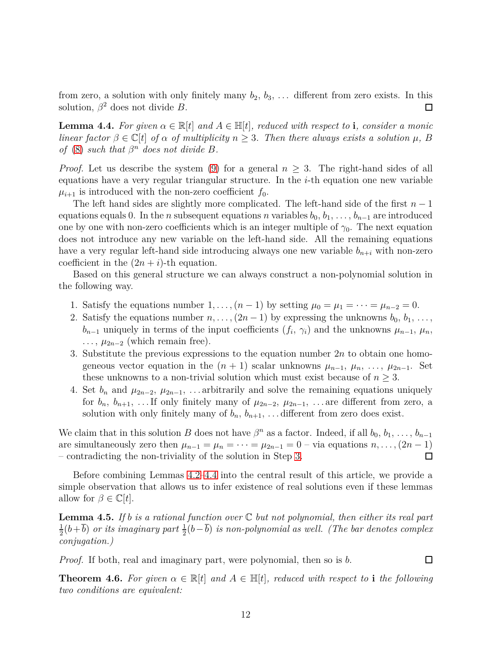from zero, a solution with only finitely many  $b_2, b_3, \ldots$  different from zero exists. In this solution,  $\beta^2$  does not divide *B*.  $\Box$ 

<span id="page-11-2"></span>**Lemma 4.4.** For given  $\alpha \in \mathbb{R}[t]$  and  $A \in \mathbb{H}[t]$ , reduced with respect to **i**, consider a monic *linear factor*  $\beta \in \mathbb{C}[t]$  *of*  $\alpha$  *of multiplicity*  $n \geq 3$ *. Then there always exists* a solution  $\mu$ *,*  $B$ *of* [\(8\)](#page-6-3) *such that*  $\beta^n$  *does not divide B.* 

*Proof.* Let us describe the system [\(9\)](#page-9-0) for a general  $n \geq 3$ . The right-hand sides of all equations have a very regular triangular structure. In the *i*-th equation one new variable  $\mu_{i+1}$  is introduced with the non-zero coefficient  $f_0$ .

The left hand sides are slightly more complicated. The left-hand side of the first *n* − 1 equations equals 0. In the *n* subsequent equations *n* variables  $b_0, b_1, \ldots, b_{n-1}$  are introduced one by one with non-zero coefficients which is an integer multiple of  $\gamma_0$ . The next equation does not introduce any new variable on the left-hand side. All the remaining equations have a very regular left-hand side introducing always one new variable  $b_{n+i}$  with non-zero coefficient in the  $(2n + i)$ -th equation.

Based on this general structure we can always construct a non-polynomial solution in the following way.

- 1. Satisfy the equations number  $1, \ldots, (n-1)$  by setting  $\mu_0 = \mu_1 = \cdots = \mu_{n-2} = 0$ .
- 2. Satisfy the equations number  $n, \ldots, (2n-1)$  by expressing the unknowns  $b_0, b_1, \ldots,$ *b*<sub>*n*−1</sub> uniquely in terms of the input coefficients  $(f_i, \gamma_i)$  and the unknowns  $\mu_{n-1}, \mu_n$ ,  $\ldots$ ,  $\mu_{2n-2}$  (which remain free).
- <span id="page-11-1"></span>3. Substitute the previous expressions to the equation number 2*n* to obtain one homogeneous vector equation in the  $(n + 1)$  scalar unknowns  $\mu_{n-1}, \mu_n, \ldots, \mu_{2n-1}$ . Set these unknowns to a non-trivial solution which must exist because of  $n \geq 3$ .
- 4. Set  $b_n$  and  $\mu_{2n-2}, \mu_{2n-1}, \ldots$  arbitrarily and solve the remaining equations uniquely for  $b_n$ ,  $b_{n+1}$ , ... If only finitely many of  $\mu_{2n-2}$ ,  $\mu_{2n-1}$ , ... are different from zero, a solution with only finitely many of  $b_n$ ,  $b_{n+1}$ , ... different from zero does exist.

We claim that in this solution *B* does not have  $\beta^n$  as a factor. Indeed, if all  $b_0, b_1, \ldots, b_{n-1}$ are simultaneously zero then  $\mu_{n-1} = \mu_n = \cdots = \mu_{2n-1} = 0$  – via equations  $n, \ldots, (2n-1)$ – contradicting the non-triviality of the solution in Step [3.](#page-11-1) □

Before combining Lemmas [4.2](#page-9-2)[–4.4](#page-11-2) into the central result of this article, we provide a simple observation that allows us to infer existence of real solutions even if these lemmas allow for  $\beta \in \mathbb{C}[t]$ .

<span id="page-11-3"></span>**Lemma 4.5.** *If b is a rational function over* C *but not polynomial, then either its real part* 1  $\frac{1}{2}(b+\overline{b})$  *or its imaginary part*  $\frac{1}{2}(b-\overline{b})$  *is non-polynomial as well. (The bar denotes complex conjugation.)*

*Proof.* If both, real and imaginary part, were polynomial, then so is *b*.

 $\Box$ 

<span id="page-11-0"></span>**Theorem 4.6.** For given  $\alpha \in \mathbb{R}[t]$  and  $A \in \mathbb{H}[t]$ , reduced with respect to **i** the following *two conditions are equivalent:*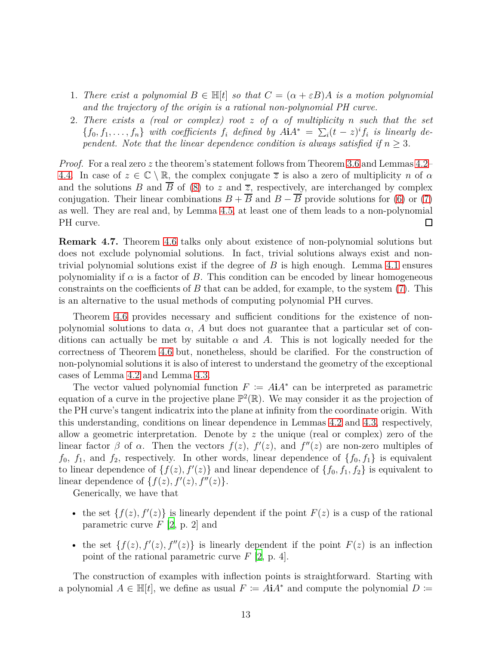- 1. *There exist a polynomial*  $B \in \mathbb{H}[t]$  *so that*  $C = (\alpha + \varepsilon B)A$  *is a motion polynomial and the trajectory of the origin is a rational non-polynomial PH curve.*
- 2. *There exists a (real or complex) root z of α of multiplicity n such that the set*  ${f_0, f_1, \ldots, f_n}$  *with coefficients*  $f_i$  *defined by*  $A\mathbf{i}A^* = \sum_i (t - z)^i f_i$  *is linearly dependent.* Note that the linear dependence condition is always satisfied if  $n \geq 3$ *.*

*Proof.* For a real zero *z* the theorem's statement follows from Theorem [3.6](#page-6-4) and Lemmas [4.2–](#page-9-2) [4.4.](#page-11-2) In case of  $z \in \mathbb{C} \setminus \mathbb{R}$ , the complex conjugate  $\overline{z}$  is also a zero of multiplicity *n* of  $\alpha$ and the solutions *B* and  $\overline{B}$  of [\(8\)](#page-6-3) to *z* and  $\overline{z}$ , respectively, are interchanged by complex conjugation. Their linear combinations  $B + \overline{B}$  and  $B - \overline{B}$  provide solutions for [\(6\)](#page-6-1) or [\(7\)](#page-6-2) as well. They are real and, by Lemma [4.5,](#page-11-3) at least one of them leads to a non-polynomial PH curve.  $\Box$ 

<span id="page-12-0"></span>**Remark 4.7.** Theorem [4.6](#page-11-0) talks only about existence of non-polynomial solutions but does not exclude polynomial solutions. In fact, trivial solutions always exist and nontrivial polynomial solutions exist if the degree of *B* is high enough. Lemma [4.1](#page-8-0) ensures polynomiality if  $\alpha$  is a factor of *B*. This condition can be encoded by linear homogeneous constraints on the coefficients of *B* that can be added, for example, to the system [\(7\)](#page-6-2). This is an alternative to the usual methods of computing polynomial PH curves.

Theorem [4.6](#page-11-0) provides necessary and sufficient conditions for the existence of nonpolynomial solutions to data  $\alpha$ ,  $\tilde{A}$  but does not guarantee that a particular set of conditions can actually be met by suitable  $\alpha$  and  $\beta$ . This is not logically needed for the correctness of Theorem [4.6](#page-11-0) but, nonetheless, should be clarified. For the construction of non-polynomial solutions it is also of interest to understand the geometry of the exceptional cases of Lemma [4.2](#page-9-2) and Lemma [4.3.](#page-10-0)

The vector valued polynomial function  $F := A\mathbf{i}A^*$  can be interpreted as parametric equation of a curve in the projective plane  $\mathbb{P}^2(\mathbb{R})$ . We may consider it as the projection of the PH curve's tangent indicatrix into the plane at infinity from the coordinate origin. With this understanding, conditions on linear dependence in Lemmas [4.2](#page-9-2) and [4.3,](#page-10-0) respectively, allow a geometric interpretation. Denote by *z* the unique (real or complex) zero of the linear factor  $\beta$  of  $\alpha$ . Then the vectors  $f(z)$ ,  $f'(z)$ , and  $f''(z)$  are non-zero multiples of  $f_0$ ,  $f_1$ , and  $f_2$ , respectively. In other words, linear dependence of  $\{f_0, f_1\}$  is equivalent to linear dependence of  $\{f(z), f'(z)\}$  and linear dependence of  $\{f_0, f_1, f_2\}$  is equivalent to linear dependence of  $\{f(z), f'(z), f''(z)\}.$ 

Generically, we have that

- the set  $\{f(z), f'(z)\}$  is linearly dependent if the point  $F(z)$  is a cusp of the rational parametric curve *F* [\[2,](#page-16-1) p. 2] and
- the set  $\{f(z), f'(z), f''(z)\}$  is linearly dependent if the point  $F(z)$  is an inflection point of the rational parametric curve *F* [\[2](#page-16-1), p. 4].

The construction of examples with inflection points is straightforward. Starting with a polynomial  $A \in \mathbb{H}[t]$ , we define as usual  $F \coloneq A\mathbf{i}A^*$  and compute the polynomial  $D \coloneq$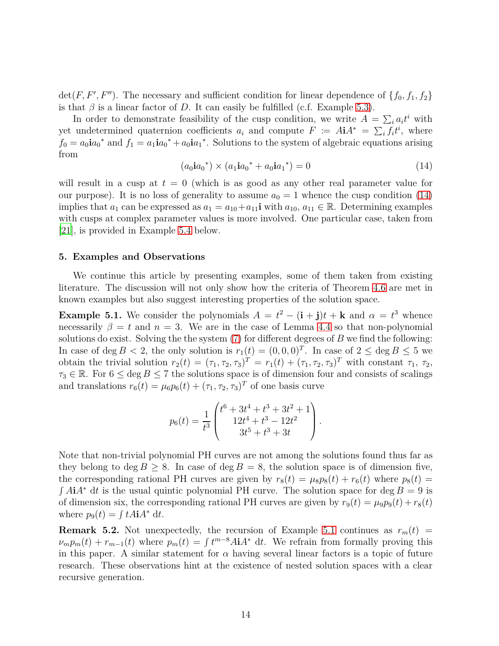$\det(F, F', F'')$ . The necessary and sufficient condition for linear dependence of  $\{f_0, f_1, f_2\}$ is that  $\beta$  is a linear factor of *D*. It can easily be fulfilled (c.f. Example [5.3\)](#page-14-0).

In order to demonstrate feasibility of the cusp condition, we write  $A = \sum_i a_i t^i$  with yet undetermined quaternion coefficients  $a_i$  and compute  $F := A \mathbf{i} A^* = \sum_i f_i t^i$ , where  $f_0 = a_0 \mathbf{i} a_0^*$  and  $f_1 = a_1 \mathbf{i} a_0^* + a_0 \mathbf{i} a_1^*$ . Solutions to the system of algebraic equations arising from

<span id="page-13-1"></span>
$$
(a_0 \mathbf{i} a_0^*) \times (a_1 \mathbf{i} a_0^* + a_0 \mathbf{i} a_1^*) = 0 \tag{14}
$$

will result in a cusp at  $t = 0$  (which is as good as any other real parameter value for our purpose). It is no loss of generality to assume  $a_0 = 1$  whence the cusp condition [\(14\)](#page-13-1) implies that  $a_1$  can be expressed as  $a_1 = a_{10} + a_{11}$ **i** with  $a_{10}$ ,  $a_{11} \in \mathbb{R}$ . Determining examples with cusps at complex parameter values is more involved. One particular case, taken from [\[21](#page-18-3)], is provided in Example [5.4](#page-14-1) below.

## <span id="page-13-0"></span>**5. Examples and Observations**

We continue this article by presenting examples, some of them taken from existing literature. The discussion will not only show how the criteria of Theorem [4.6](#page-11-0) are met in known examples but also suggest interesting properties of the solution space.

<span id="page-13-2"></span>**Example 5.1.** We consider the polynomials  $A = t^2 - (\mathbf{i} + \mathbf{j})t + \mathbf{k}$  and  $\alpha = t^3$  whence necessarily  $\beta = t$  and  $n = 3$ . We are in the case of Lemma [4.4](#page-11-2) so that non-polynomial solutions do exist. Solving the the system [\(7\)](#page-6-2) for different degrees of *B* we find the following: In case of deg  $B < 2$ , the only solution is  $r_1(t) = (0,0,0)^T$ . In case of  $2 \le \deg B \le 5$  we obtain the trivial solution  $r_2(t) = (\tau_1, \tau_2, \tau_3)^T = r_1(t) + (\tau_1, \tau_2, \tau_3)^T$  with constant  $\tau_1, \tau_2$ ,  $\tau_3 \in \mathbb{R}$ . For  $6 \le \deg B \le 7$  the solutions space is of dimension four and consists of scalings and translations  $r_6(t) = \mu_6 p_6(t) + (\tau_1, \tau_2, \tau_3)^T$  of one basis curve

$$
p_6(t) = \frac{1}{t^3} \begin{pmatrix} t^6 + 3t^4 + t^3 + 3t^2 + 1 \\ 12t^4 + t^3 - 12t^2 \\ 3t^5 + t^3 + 3t \end{pmatrix}.
$$

Note that non-trivial polynomial PH curves are not among the solutions found thus far as they belong to deg  $B > 8$ . In case of deg  $B = 8$ , the solution space is of dimension five, the corresponding rational PH curves are given by  $r_8(t) = \mu_8 p_8(t) + r_6(t)$  where  $p_8(t) =$  $\int A \mathbf{i} A^* \, \mathrm{d} t$  is the usual quintic polynomial PH curve. The solution space for deg  $B = 9$  is of dimension six, the corresponding rational PH curves are given by  $r_9(t) = \mu_9 p_9(t) + r_8(t)$ where  $p_9(t) = \int tA\mathbf{i}A^* dt$ .

**Remark 5.2.** Not unexpectedly, the recursion of Example [5.1](#page-13-2) continues as  $r_m(t)$  =  $\nu_m p_m(t) + r_{m-1}(t)$  where  $p_m(t) = \int t^{m-8} A t A^* dt$ . We refrain from formally proving this in this paper. A similar statement for  $\alpha$  having several linear factors is a topic of future research. These observations hint at the existence of nested solution spaces with a clear recursive generation.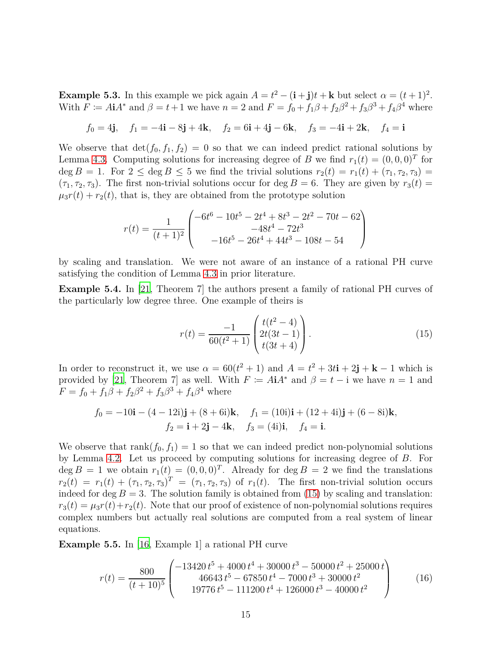<span id="page-14-0"></span>**Example 5.3.** In this example we pick again  $A = t^2 - (\mathbf{i} + \mathbf{j})t + \mathbf{k}$  but select  $\alpha = (t+1)^2$ . With  $F := A \mathbf{i} A^*$  and  $\beta = t + 1$  we have  $n = 2$  and  $F = f_0 + f_1 \beta + f_2 \beta^2 + f_3 \beta^3 + f_4 \beta^4$  where

$$
f_0 = 4\mathbf{j}, \quad f_1 = -4\mathbf{i} - 8\mathbf{j} + 4\mathbf{k}, \quad f_2 = 6\mathbf{i} + 4\mathbf{j} - 6\mathbf{k}, \quad f_3 = -4\mathbf{i} + 2\mathbf{k}, \quad f_4 = \mathbf{i}
$$

We observe that  $\det(f_0, f_1, f_2) = 0$  so that we can indeed predict rational solutions by Lemma [4.3.](#page-10-0) Computing solutions for increasing degree of *B* we find  $r_1(t) = (0,0,0)^T$  for  $\deg B = 1$ . For  $2 \leq \deg B \leq 5$  we find the trivial solutions  $r_2(t) = r_1(t) + (\tau_1, \tau_2, \tau_3)$  $(\tau_1, \tau_2, \tau_3)$ . The first non-trivial solutions occur for deg  $B = 6$ . They are given by  $r_3(t) =$  $\mu_3 r(t) + r_2(t)$ , that is, they are obtained from the prototype solution

$$
r(t) = \frac{1}{(t+1)^2} \begin{pmatrix} -6t^6 - 10t^5 - 2t^4 + 8t^3 - 2t^2 - 70t - 62 \\ -48t^4 - 72t^3 \\ -16t^5 - 26t^4 + 44t^3 - 108t - 54 \end{pmatrix}
$$

by scaling and translation. We were not aware of an instance of a rational PH curve satisfying the condition of Lemma [4.3](#page-10-0) in prior literature.

<span id="page-14-1"></span>**Example 5.4.** In [\[21](#page-18-3), Theorem 7] the authors present a family of rational PH curves of the particularly low degree three. One example of theirs is

<span id="page-14-2"></span>
$$
r(t) = \frac{-1}{60(t^2+1)} \begin{pmatrix} t(t^2-4) \\ 2t(3t-1) \\ t(3t+4) \end{pmatrix} . \tag{15}
$$

In order to reconstruct it, we use  $\alpha = 60(t^2 + 1)$  and  $A = t^2 + 3t\mathbf{i} + 2\mathbf{j} + \mathbf{k} - 1$  which is provided by [\[21](#page-18-3), Theorem 7] as well. With  $F := A\mathbf{i}A^*$  and  $\beta = t - \mathbf{i}$  we have  $n = 1$  and  $F = f_0 + f_1\beta + f_2\beta^2 + f_3\beta^3 + f_4\beta^4$  where

$$
f_0 = -10\mathbf{i} - (4 - 12\mathbf{i})\mathbf{j} + (8 + 6\mathbf{i})\mathbf{k}, \quad f_1 = (10\mathbf{i})\mathbf{i} + (12 + 4\mathbf{i})\mathbf{j} + (6 - 8\mathbf{i})\mathbf{k}, f_2 = \mathbf{i} + 2\mathbf{j} - 4\mathbf{k}, \quad f_3 = (4\mathbf{i})\mathbf{i}, \quad f_4 = \mathbf{i}.
$$

We observe that  $rank(f_0, f_1) = 1$  so that we can indeed predict non-polynomial solutions by Lemma [4.2.](#page-9-2) Let us proceed by computing solutions for increasing degree of *B*. For  $\deg B = 1$  we obtain  $r_1(t) = (0, 0, 0)^T$ . Already for  $\deg B = 2$  we find the translations  $r_2(t) = r_1(t) + (\tau_1, \tau_2, \tau_3)^T = (\tau_1, \tau_2, \tau_3)$  of  $r_1(t)$ . The first non-trivial solution occurs indeed for deg  $B = 3$ . The solution family is obtained from [\(15\)](#page-14-2) by scaling and translation:  $r_3(t) = \mu_3 r(t) + r_2(t)$ . Note that our proof of existence of non-polynomial solutions requires complex numbers but actually real solutions are computed from a real system of linear equations.

**Example 5.5.** In [\[16](#page-17-10), Example 1] a rational PH curve

<span id="page-14-3"></span>
$$
r(t) = \frac{800}{(t+10)^5} \begin{pmatrix} -13420 \, t^5 + 4000 \, t^4 + 30000 \, t^3 - 50000 \, t^2 + 25000 \, t \\ 46643 \, t^5 - 67850 \, t^4 - 7000 \, t^3 + 30000 \, t^2 \\ 19776 \, t^5 - 111200 \, t^4 + 126000 \, t^3 - 40000 \, t^2 \end{pmatrix} \tag{16}
$$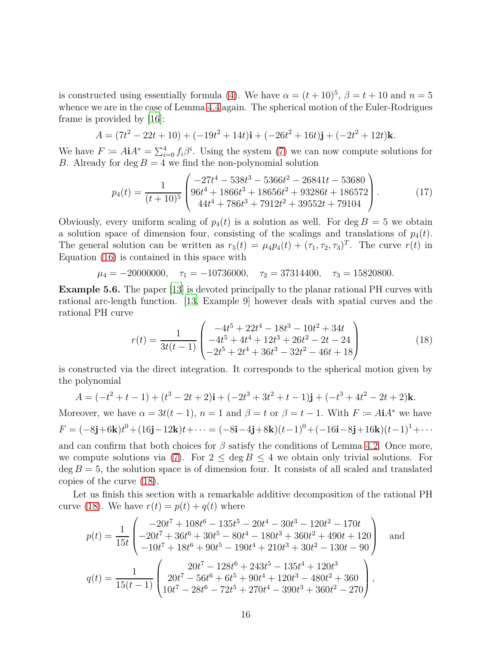is constructed using essentially formula [\(4\)](#page-4-0). We have  $\alpha = (t + 10)^5$ ,  $\beta = t + 10$  and  $n = 5$ whence we are in the case of Lemma [4.4](#page-11-2) again. The spherical motion of the Euler-Rodrigues frame is provided by  $|16|$ :

$$
A = (7t2 - 22t + 10) + (-19t2 + 14t)\mathbf{i} + (-26t2 + 16t)\mathbf{j} + (-2t2 + 12t)\mathbf{k}.
$$

We have  $F \coloneqq A \mathbf{i} A^* = \sum_{i=0}^4 f_i \beta^i$ . Using the system [\(7\)](#page-6-2) we can now compute solutions for *B*. Already for deg  $B = 4$  we find the non-polynomial solution

$$
p_4(t) = \frac{1}{(t+10)^5} \begin{pmatrix} -27t^4 - 538t^3 - 5366t^2 - 26841t - 53680 \\ 96t^4 + 1866t^3 + 18656t^2 + 93286t + 186572 \\ 44t^4 + 786t^3 + 7912t^2 + 39552t + 79104 \end{pmatrix}.
$$
 (17)

Obviously, every uniform scaling of  $p_4(t)$  is a solution as well. For deg  $B = 5$  we obtain a solution space of dimension four, consisting of the scalings and translations of  $p_4(t)$ . The general solution can be written as  $r_5(t) = \mu_4 p_4(t) + (\tau_1, \tau_2, \tau_3)^T$ . The curve  $r(t)$  in Equation [\(16\)](#page-14-3) is contained in this space with

$$
\mu_4 = -20000000
$$
,  $\tau_1 = -10736000$ ,  $\tau_2 = 37314400$ ,  $\tau_3 = 15820800$ .

**Example 5.6.** The paper [\[13\]](#page-17-11) is devoted principally to the planar rational PH curves with rational arc-length function. [\[13,](#page-17-11) Example 9] however deals with spatial curves and the rational PH curve

<span id="page-15-0"></span>
$$
r(t) = \frac{1}{3t(t-1)} \begin{pmatrix} -4t^5 + 22t^4 - 18t^3 - 10t^2 + 34t \\ -4t^5 + 4t^4 + 12t^3 + 26t^2 - 2t - 24 \\ -2t^5 + 2t^4 + 36t^3 - 32t^2 - 46t + 18 \end{pmatrix}
$$
(18)

is constructed via the direct integration. It corresponds to the spherical motion given by the polynomial

$$
A = (-t2 + t - 1) + (t3 - 2t + 2)\mathbf{i} + (-2t3 + 3t2 + t - 1)\mathbf{j} + (-t3 + 4t2 - 2t + 2)\mathbf{k}.
$$

Moreover, we have  $\alpha = 3t(t-1)$ ,  $n = 1$  and  $\beta = t$  or  $\beta = t-1$ . With  $F \coloneqq A\mathbf{i}A^*$  we have  $F = (-8\mathbf{j}+6\mathbf{k})t^0 + (16\mathbf{j}-12\mathbf{k})t + \cdots = (-8\mathbf{i}-4\mathbf{j}+8\mathbf{k})(t-1)^0 + (-16\mathbf{i}-8\mathbf{j}+16\mathbf{k})(t-1)^1 + \cdots$ 

and can confirm that both choices for  $\beta$  satisfy the conditions of Lemma [4.2.](#page-9-2) Once more, we compute solutions via [\(7\)](#page-6-2). For  $2 \le \deg B \le 4$  we obtain only trivial solutions. For  $\deg B = 5$ , the solution space is of dimension four. It consists of all scaled and translated copies of the curve [\(18\)](#page-15-0).

Let us finish this section with a remarkable additive decomposition of the rational PH curve [\(18\)](#page-15-0). We have  $r(t) = p(t) + q(t)$  where

$$
p(t) = \frac{1}{15t} \begin{pmatrix} -20t^7 + 108t^6 - 135t^5 - 20t^4 - 30t^3 - 120t^2 - 170t \\ -20t^7 + 36t^6 + 30t^5 - 80t^4 - 180t^3 + 360t^2 + 490t + 120 \\ -10t^7 + 18t^6 + 90t^5 - 190t^4 + 210t^3 + 30t^2 - 130t - 90 \end{pmatrix} \text{ and}
$$
  

$$
q(t) = \frac{1}{15(t-1)} \begin{pmatrix} 20t^7 - 128t^6 + 243t^5 - 135t^4 + 120t^3 \\ 20t^7 - 56t^6 + 6t^5 + 90t^4 + 120t^3 - 480t^2 + 360 \\ 10t^7 - 28t^6 - 72t^5 + 270t^4 - 390t^3 + 360t^2 - 270 \end{pmatrix},
$$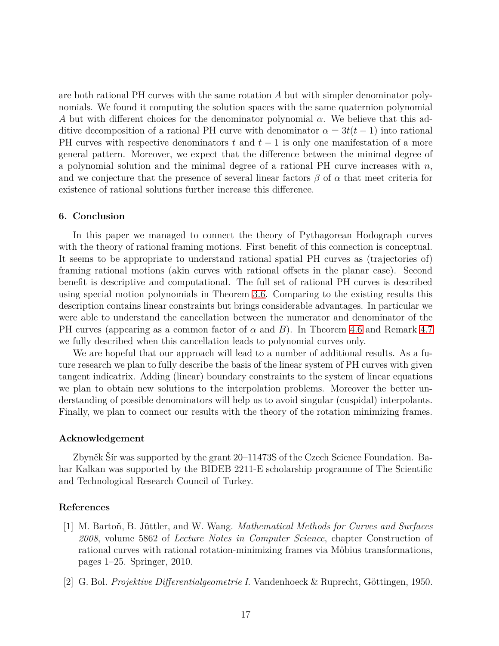are both rational PH curves with the same rotation *A* but with simpler denominator polynomials. We found it computing the solution spaces with the same quaternion polynomial *A* but with different choices for the denominator polynomial *α*. We believe that this additive decomposition of a rational PH curve with denominator  $\alpha = 3t(t-1)$  into rational PH curves with respective denominators *t* and *t* − 1 is only one manifestation of a more general pattern. Moreover, we expect that the difference between the minimal degree of a polynomial solution and the minimal degree of a rational PH curve increases with *n*, and we conjecture that the presence of several linear factors  $\beta$  of  $\alpha$  that meet criteria for existence of rational solutions further increase this difference.

# **6. Conclusion**

In this paper we managed to connect the theory of Pythagorean Hodograph curves with the theory of rational framing motions. First benefit of this connection is conceptual. It seems to be appropriate to understand rational spatial PH curves as (trajectories of) framing rational motions (akin curves with rational offsets in the planar case). Second benefit is descriptive and computational. The full set of rational PH curves is described using special motion polynomials in Theorem [3.6.](#page-6-4) Comparing to the existing results this description contains linear constraints but brings considerable advantages. In particular we were able to understand the cancellation between the numerator and denominator of the PH curves (appearing as a common factor of *α* and *B*). In Theorem [4.6](#page-11-0) and Remark [4.7](#page-12-0) we fully described when this cancellation leads to polynomial curves only.

We are hopeful that our approach will lead to a number of additional results. As a future research we plan to fully describe the basis of the linear system of PH curves with given tangent indicatrix. Adding (linear) boundary constraints to the system of linear equations we plan to obtain new solutions to the interpolation problems. Moreover the better understanding of possible denominators will help us to avoid singular (cuspidal) interpolants. Finally, we plan to connect our results with the theory of the rotation minimizing frames.

## **Acknowledgement**

Zbyněk Šír was supported by the grant 20–11473S of the Czech Science Foundation. Bahar Kalkan was supported by the BIDEB 2211-E scholarship programme of The Scientific and Technological Research Council of Turkey.

# **References**

- <span id="page-16-0"></span>[1] M. Bartoň, B. Jüttler, and W. Wang. *Mathematical Methods for Curves and Surfaces 2008*, volume 5862 of *Lecture Notes in Computer Science*, chapter Construction of rational curves with rational rotation-minimizing frames via Möbius transformations, pages 1–25. Springer, 2010.
- <span id="page-16-1"></span>[2] G. Bol. *Projektive Differentialgeometrie I*. Vandenhoeck & Ruprecht, Göttingen, 1950.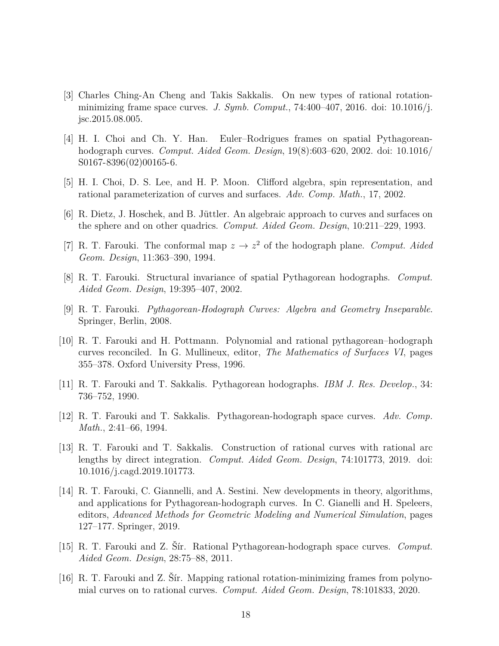- <span id="page-17-13"></span>[3] Charles Ching-An Cheng and Takis Sakkalis. On new types of rational rotationminimizing frame space curves. *J. Symb. Comput.*, 74:400–407, 2016. doi: 10.1016/j. jsc.2015.08.005.
- <span id="page-17-12"></span>[4] H. I. Choi and Ch. Y. Han. Euler–Rodrigues frames on spatial Pythagoreanhodograph curves. *Comput. Aided Geom. Design*, 19(8):603–620, 2002. doi: 10.1016/ S0167-8396(02)00165-6.
- <span id="page-17-5"></span>[5] H. I. Choi, D. S. Lee, and H. P. Moon. Clifford algebra, spin representation, and rational parameterization of curves and surfaces. *Adv. Comp. Math.*, 17, 2002.
- <span id="page-17-4"></span>[6] R. Dietz, J. Hoschek, and B. Jüttler. An algebraic approach to curves and surfaces on the sphere and on other quadrics. *Comput. Aided Geom. Design*, 10:211–229, 1993.
- <span id="page-17-1"></span>[7] R. T. Farouki. The conformal map  $z \to z^2$  of the hodograph plane. *Comput. Aided Geom. Design*, 11:363–390, 1994.
- <span id="page-17-6"></span>[8] R. T. Farouki. Structural invariance of spatial Pythagorean hodographs. *Comput. Aided Geom. Design*, 19:395–407, 2002.
- <span id="page-17-2"></span>[9] R. T. Farouki. *Pythagorean-Hodograph Curves: Algebra and Geometry Inseparable*. Springer, Berlin, 2008.
- <span id="page-17-8"></span>[10] R. T. Farouki and H. Pottmann. Polynomial and rational pythagorean–hodograph curves reconciled. In G. Mullineux, editor, *The Mathematics of Surfaces VI*, pages 355–378. Oxford University Press, 1996.
- <span id="page-17-0"></span>[11] R. T. Farouki and T. Sakkalis. Pythagorean hodographs. *IBM J. Res. Develop.*, 34: 736–752, 1990.
- <span id="page-17-3"></span>[12] R. T. Farouki and T. Sakkalis. Pythagorean-hodograph space curves. *Adv. Comp. Math.*, 2:41–66, 1994.
- <span id="page-17-11"></span>[13] R. T. Farouki and T. Sakkalis. Construction of rational curves with rational arc lengths by direct integration. *Comput. Aided Geom. Design*, 74:101773, 2019. doi: 10.1016/j.cagd.2019.101773.
- <span id="page-17-7"></span>[14] R. T. Farouki, C. Giannelli, and A. Sestini. New developments in theory, algorithms, and applications for Pythagorean-hodograph curves. In C. Gianelli and H. Speleers, editors, *Advanced Methods for Geometric Modeling and Numerical Simulation*, pages 127–177. Springer, 2019.
- <span id="page-17-9"></span>[15] R. T. Farouki and Z. Šír. Rational Pythagorean-hodograph space curves. *Comput. Aided Geom. Design*, 28:75–88, 2011.
- <span id="page-17-10"></span>[16] R. T. Farouki and Z. Šír. Mapping rational rotation-minimizing frames from polynomial curves on to rational curves. *Comput. Aided Geom. Design*, 78:101833, 2020.